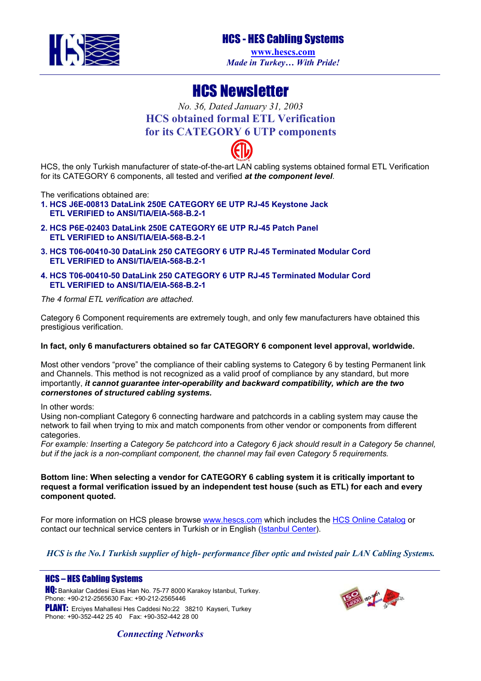

## HCS - HES Cabling Systems

**[www.hescs.com](http://www.hescs.com/)** *Made in Turkey… With Pride!*

# HCS Newsletter

### *No. 36, Dated January 31, 2003* **HCS obtained formal ETL Verification for its CATEGORY 6 UTP components**

HCS, the only Turkish manufacturer of state-of-the-art LAN cabling systems obtained formal ETL Verification for its CATEGORY 6 components, all tested and verified *at the component level*.

The verifications obtained are:

- **1. HCS J6E-00813 DataLink 250E CATEGORY 6E UTP RJ-45 Keystone Jack ETL VERIFIED to ANSI/TIA/EIA-568-B.2-1**
- **2. HCS P6E-02403 DataLink 250E CATEGORY 6E UTP RJ-45 Patch Panel ETL VERIFIED to ANSI/TIA/EIA-568-B.2-1**
- **3. HCS T06-00410-30 DataLink 250 CATEGORY 6 UTP RJ-45 Terminated Modular Cord ETL VERIFIED to ANSI/TIA/EIA-568-B.2-1**
- **4. HCS T06-00410-50 DataLink 250 CATEGORY 6 UTP RJ-45 Terminated Modular Cord ETL VERIFIED to ANSI/TIA/EIA-568-B.2-1**

*The 4 formal ETL verification are attached.* 

Category 6 Component requirements are extremely tough, and only few manufacturers have obtained this prestigious verification.

#### **In fact, only 6 manufacturers obtained so far CATEGORY 6 component level approval, worldwide.**

Most other vendors "prove" the compliance of their cabling systems to Category 6 by testing Permanent link and Channels. This method is not recognized as a valid proof of compliance by any standard, but more importantly, *it cannot guarantee inter-operability and backward compatibility, which are the two cornerstones of structured cabling systems.* 

In other words:

Using non-compliant Category 6 connecting hardware and patchcords in a cabling system may cause the network to fail when trying to mix and match components from other vendor or components from different categories.

*For example: Inserting a Category 5e patchcord into a Category 6 jack should result in a Category 5e channel, but if the jack is a non-compliant component, the channel may fail even Category 5 requirements.* 

**Bottom line: When selecting a vendor for CATEGORY 6 cabling system it is critically important to request a formal verification issued by an independent test house (such as ETL) for each and every component quoted.** 

For more information on HCS please browse [www.hescs.com](http://www.hescs.com/) which includes the [HCS Online Catalog](http://www.hescs.com/catalog/index.asp) or contact our technical service centers in Turkish or in English ([Istanbul Center\)](mailto:info@hescs.com).

*HCS is the No.1 Turkish supplier of high- performance fiber optic and twisted pair LAN Cabling Systems.* 

#### HCS – HES Cabling Systems

HQ: Bankalar Caddesi Ekas Han No. 75-77 8000 Karakoy Istanbul, Turkey. Phone: +90-212-2565630 Fax: +90-212-2565446 PLANT: Ercives Mahallesi Hes Caddesi No:22 38210 Kayseri, Turkey Phone: +90-352-442 25 40 Fax: +90-352-442 28 00



*Connecting Networks*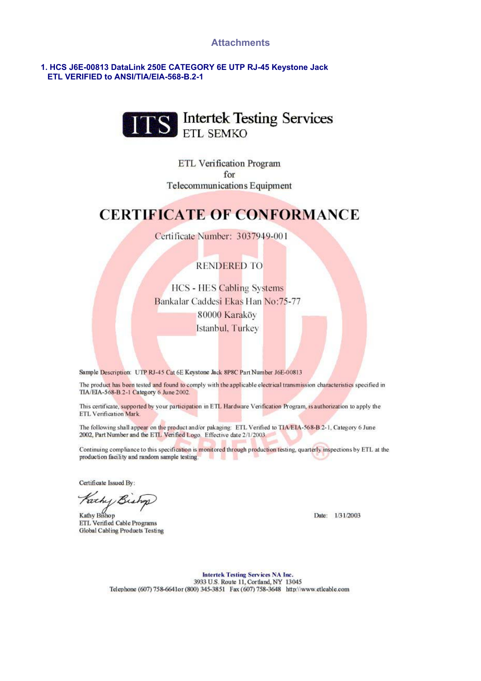#### **Attachments**

#### 1. HCS J6E-00813 DataLink 250E CATEGORY 6E UTP RJ-45 Keystone Jack ETL VERIFIED to ANSI/TIA/EIA-568-B.2-1



ETL Verification Program for Telecommunications Equipment

## **CERTIFICATE OF CONFORMANCE**

Certificate Number: 3037949-001

### **RENDERED TO**

**HCS - HES Cabling Systems** Bankalar Caddesi Ekas Han No:75-77 80000 Karaköv Istanbul, Turkey

Sample Description: UTP RJ-45 Cat 6E Keystone Jack 8P8C Part Number J6E-00813

The product has been tested and found to comply with the applicable electrical transmission characteristics specified in TIA/EIA-568-B.2-1 Category 6 June 2002.

This certificate, supported by your participation in ETL Hardware Verification Program, is authorization to apply the ETL Verification Mark.

The following shall appear on the product and/or pakaging: ETL Verified to TIA/EIA-568-B 2-1, Category 6 June 2002, Part Number and the ETL Verified Logo. Effective date 2/1/2003.

Continuing compliance to this specification is monitored through production testing, quarterly inspections by ETL at the production facility and random sample testing - 49

Certificate Issued By:

Fachy Bis

Kathy Bishop ETL Verified Cable Programs Global Cabling Products Testing

Date: 1/31/2003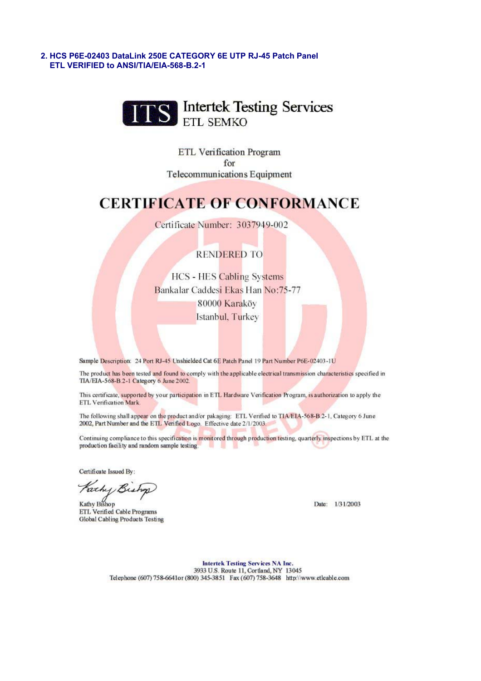2. HCS P6E-02403 DataLink 250E CATEGORY 6E UTP RJ-45 Patch Panel ETL VERIFIED to ANSI/TIA/EIA-568-B.2-1



ETL Verification Program for Telecommunications Equipment

## **CERTIFICATE OF CONFORMANCE**

Certificate Number: 3037949-002

### **RENDERED TO**

**HCS - HES Cabling Systems** Bankalar Caddesi Ekas Han No:75-77 80000 Karaköy Istanbul, Turkey

Sample Description: 24 Port RJ-45 Unshielded Cat 6E Patch Panel 19 Part Number P6E-02403-1U

The product has been tested and found to comply with the applicable electrical transmission characteristics specified in TIA/EIA-568-B.2-1 Category 6 June 2002.

This certificate, supported by your participation in ETL Hardware Verification Program, is authorization to apply the ETL Verification Mark

The following shall appear on the product and/or pakaging: ETL Verified to TIA/EIA-568-B 2-1. Category 6 June 2002, Part Number and the ETL Verified Logo. Effective date 2/1/2003.

Continuing compliance to this specification is monitored through production testing, quarterly inspections by ETL at the production facility and random sample testing

Certificate Issued By:

Fathy Bis

Kathy Bishop ETL Verified Cable Programs Global Cabling Products Testing

Date: 1/31/2003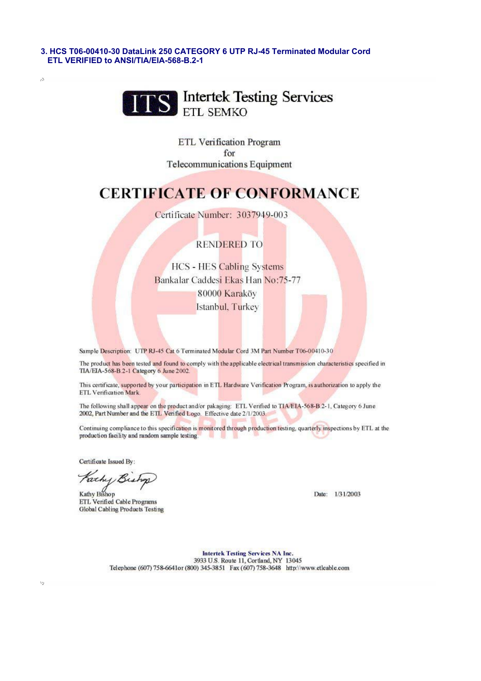3. HCS T06-00410-30 DataLink 250 CATEGORY 6 UTP RJ-45 Terminated Modular Cord ETL VERIFIED to ANSI/TIA/EIA-568-B.2-1



ETL Verification Program for **Telecommunications Equipment** 

## **CERTIFICATE OF CONFORMANCE**

Certificate Number: 3037949-003

### **RENDERED TO**

**HCS - HES Cabling Systems** Bankalar Caddesi Ekas Han No:75-77 80000 Karaköy Istanbul, Turkey

Sample Description: UTP RJ-45 Cat 6 Terminated Modular Cord 3M Part Number T06-00410-30

The product has been tested and found to comply with the applicable electrical transmission characteristics specified in TIA/EIA-568-B.2-1 Category 6 June 2002

This certificate, supported by your participation in ETL Hardware Verification Program, is authorization to apply the ETL Verification Mark

The following shall appear on the product and/or pakaging: ETL Verified to TIA/EIA-568-B.2-1, Category 6 June 2002. Part Number and the ETL Verified Logo. Effective date 2/1/2003.

Continuing compliance to this specification is monitored through production testing, quarterly inspections by ETL at the production facility and random sample testing.

Certificate Issued By:

 $\hat{\mu}$ 

Fachy B

Kathy Bishop ETL Verified Cable Programs Global Cabling Products Testing

Date: 1/31/2003